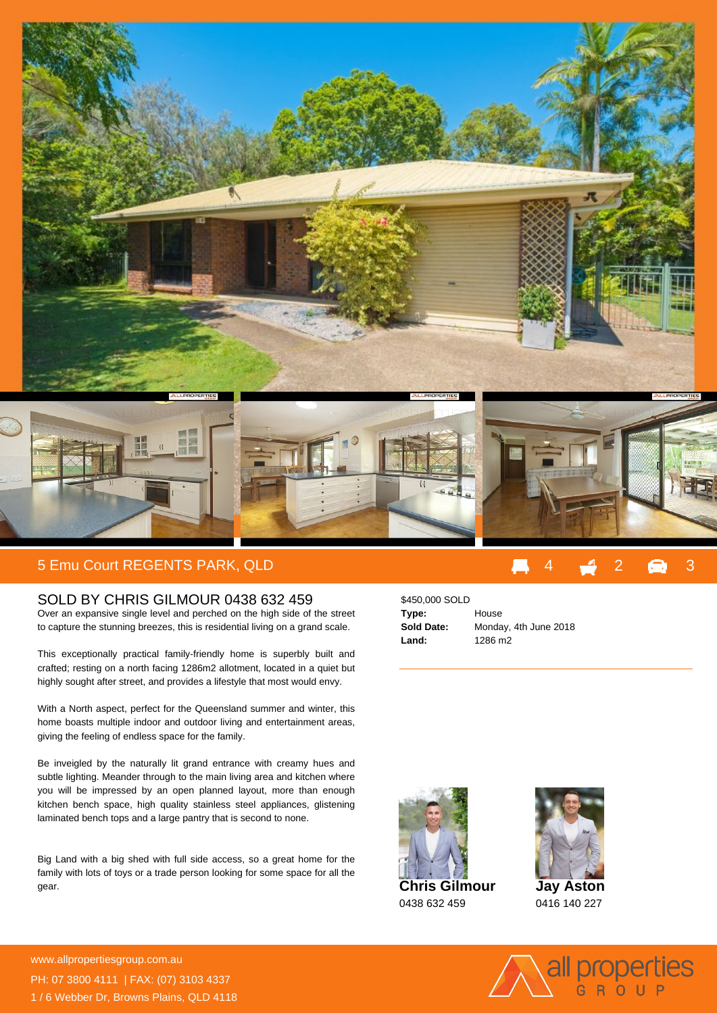

## 5 Emu Court REGENTS PARK, QLD 4 3 3

## SOLD BY CHRIS GILMOUR 0438 632 459

Over an expansive single level and perched on the high side of the street to capture the stunning breezes, this is residential living on a grand scale.

This exceptionally practical family-friendly home is superbly built and crafted; resting on a north facing 1286m2 allotment, located in a quiet but highly sought after street, and provides a lifestyle that most would envy.

With a North aspect, perfect for the Queensland summer and winter, this home boasts multiple indoor and outdoor living and entertainment areas, giving the feeling of endless space for the family.

Be inveigled by the naturally lit grand entrance with creamy hues and subtle lighting. Meander through to the main living area and kitchen where you will be impressed by an open planned layout, more than enough kitchen bench space, high quality stainless steel appliances, glistening laminated bench tops and a large pantry that is second to none.

Big Land with a big shed with full side access, so a great home for the family with lots of toys or a trade person looking for some space for all the gear.

## \$450,000 SOLD **Type:** House **Sold Date:** Monday, 4th June 2018 **Land:** 1286 m2







0416 140 227



**For more details please visit** www.allpropertiesgroup.com.au/<br>Material PH: 07 3800 4111 | FAX: (07) 3103 4337 1 / 6 Webber Dr, Browns Plains, QLD 4118